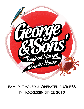

# FAMILY OWNED & OPERATED BUSINESS IN HOCKESSIN SINCE 2010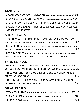## **STARTERS**

| . OYSTER STEW - CREAM, BUTTER, FRESH OYSTERS! * MADE TO ORDER *\$9 |  |
|--------------------------------------------------------------------|--|
| . SMALL HOUSE SALAD - HOUSE GREENS, HOUSE MADE CROUTONS, HOUSE     |  |
|                                                                    |  |

## **SHARE PLATES**

| - BACON WRAPPED SCALLOPS - LARGE, DRY PACKED, SEA SCALLOPS         |  |
|--------------------------------------------------------------------|--|
| FROM OUR MARKET WRAPPED IN BACON AND COOKED TO PERFECTION\$18      |  |
| . TUNA TATAKI - SUSHI GRADE YELLOWFIN TUNA FROM OUR MARKET QUICKLY |  |
|                                                                    |  |
| . TY'S CRAB FRIES - CRINKLE CUT FRIES LOADED W/ HOUSE MADE CHEESE  |  |
| SAUCE, FRESH CRAB MEAT, BAY SPICE & LAST BUT NOT LEAST, BACON!\$17 |  |
| <b>FRIED SEAFOOD</b>                                               |  |
| - FRIED CALAMARI - FRESH DOMESTIC SQUID FROM OUR MARKET, LIGHTLY   |  |
|                                                                    |  |
| . FRIED OYSTERS - LOCAL OYSTERS, LIGHTLY COATED IN CRISPY PANKO &  |  |
|                                                                    |  |
| - FRIED SHRIMP - JUMBO SHRIMP, LIGHTLY COATED & FRIED - CHOICE OF  |  |
|                                                                    |  |
| <b>STEAM PLATES</b>                                                |  |
| - STEAMED SHRIMP - 1/2 POUND/FULL POUND, W/ COCKTAIL SAUCE\$12/22  |  |
| . CLAM BUCKET - 2 DOZEN, STEAMED IN BEER & BAY SPICE\$20           |  |
| . MUSSEL BOWL - FULL POUND, IN A WINE & CREAM SAUCE\$18            |  |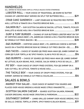# **HANDHELDS**

**(ALL SERVED W/ HOUSE MADE CHIPS & A PICKLE UNLESS STATED OTHERWISE) • LOBSTER ROLL – YOUR CHOICE OF TRADITIONAL OR WARM W/ BUTTER CHUNKS OF LOBSTER MEAT SERVED ON SPLIT TOP BUTTERED ROLL……………………….\$29 • CRAB CAKE SANDWICH – LUMP CRABCAKE W/ ROASTED RED PEPPER AIOLI, LETTUCE & TOMATO ON A TOASTED BRIOCHE BUN……………………………………....……….\$23 • SALMON BLT - OUR SCOTTISH SALMON W/ BACON, LETTUCE, TOMATO, PICKLED SHALLOTS & HOUSE AIOLI ON A TOASTED BRIOCHE BUN …………………………..……………………\$19 • SURF & TURF BURGER – CHUNKS OF OUR BUTTERED LOBSTER MEAT ON TOP OF CERTIFIED ANGUS BEEF, LTO, AMERICAN CHEESE & ON A TOASTED BRIOCHE BUN W/ CRINKLE CUT FRIES (BACON + \$1)……………………………………………………………………….…….…….….\$28 • G&S BURGER – CERTIFIED ANGUS BEEF, LTO, AMERICAN CHEESE & MOTHER SAUCE ON A TOASTED BRIOCHE BUN W/ CRINKLE CUT FRIES (BACON + \$1)……….….\$16 • G&S TACOS – CHOICE OF SEARED OR FRIED MAHI-MAHI OR JUMBO SHRIMP ON CORN OR FLOUR TORTILLA W/ SPICY RANCH, SLAW & PICO DE GALLO………………..……\$16 • G&S BURRITO – CHOICE OF SEARED OR FRIED MAHI-MAHI OR JUMBO SHRIMP W/ LETTUCE, BLACK BEANS, RICE, CHEESE, SALSA VERDE & PICO DE GALLO….……\$17 • PO' BOY – YOUR CHOICE OF CRISPY FRIED OYSTERS, FISH OR SHRIMP ON A SUB-CUT ROLL W/ LETTUCE, TOMATO & HOUSE AIOLI……………..…………………..…………………….\$18 • THE 'TACKLE BOX' – YOUR CHOICE OF CRISPY FRIED OYSTERS, FISH OR SHRIMP, SERVED W/ CRINKLE CUT FRIES & COLESLAW……………………………………………………\$16 SALADS & BOWLS • MARKET FISH SALAD – YOUR CHOICE OF MARKET FISH SEARED AND PLACED OVER HOUSE GREENS & HOUSE MADE CITRUS VINAIGRETTE…………………….\$MP • SCOTTISH SALMON CAESAR – SEARED SCOTTISH SALMON, ROMAINE, CAESER DRESSING, HOUSE MADE CROUTONS & PAREMSAN………………………..…....……….\$22 • SOUTHWEST SHRIMP – JUMBO GRILLED SHRIMP OVER HOUSE GREENS, PICO DE GALLO, CHEESE, TORTILLA STRIPS, SPICY RANCH & BLACK BEANS………………….…\$19**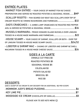# **ENTRÉE PLATES**

| MARKET FISH ENTRÉE - YOUR CHOICE OF MARKET FISH W/ CHOICE<br>PREPERATION AND SERVED W/ ROASTED POTATOES & SEASONAL VEGGIE \$MP |
|--------------------------------------------------------------------------------------------------------------------------------|
| . SCALLOP RISOTTO - PAN SEARED DAY BOAT SEA SCALLOPS OVER TOP OF                                                               |
| - DAD'S CRABCAKES - 2 JUMBO LUMP CRABCAKES W/ ROASTED RED PEPPER                                                               |
| . MUSSELS MARINARA- PRINCE EDWARD ISLAND MUSSELS OVER LINGUINI                                                                 |
| . HOUSE SCAMPI - YOUR CHOICE OF SHRIMP, SCALLOPS OR BOTH - OVER TOP                                                            |
| - LOBSTER & SHRIMP MAC - CHUNKS OF LOBSTER AND SHRIMP W/ SHELL                                                                 |

### **SIDES A LA CARTE**

**CRINKLE CUT FRIES \$5 ROASTED POTATOES \$5 SEASONAL VEGGIE \$5 COLESLAW \$3 POTATO SALAD \$3 BROCCOLI \$5 RICE \$5**

# **DESSERTS**

| (ADD A SCOOP OF ICE CREAM TO ANY DESSERT FOR AN ADDITIONAL +\$2 PER SCOOP) |  |
|----------------------------------------------------------------------------|--|
|                                                                            |  |
|                                                                            |  |
|                                                                            |  |
|                                                                            |  |

**PLEASE ASK TO SEE KID'S MENU**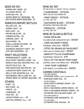#### **BEER ON TAP:**

**• YUENGLING LAGER - \$5**

- **ALLAGASH WHITE - \$7**
- **CAPE MAY IPA - \$6**

**• DEWEY BEER CO. ROTATING - \$8**

**• BIG OYSTER BREW ROTATING - \$7**

#### **DOMESTIC/IMPORT BOTTLES:**

- **MILLER LITE - \$4**
- **COORS LIGHT - \$4**
- **BUD LIGHT - \$4**
- **MICHELOB ULTRA - \$4**
- **CORONA EXTRA - \$5**
- **CORONA LIGHT - \$5**
- **BLUE MOON - \$5**
- **STELLA ARTOIS PILSNER - \$5**
- **STELLA CIDRE - \$5**
- **GUINNESS DRAUGHT STOUT - \$5**
- **0.0% ABV HEINEKEN - \$4**

## **CRAFT SELECTIONS:**

**• NARRAGANSETT LAGER - \$4 • BLUE POINT TOASTED LAGER - \$6 • BURLEY OAK SEA HEATHEN PILS - \$6 • DALE'S PALE ALE - \$6 • RAR NANTICOKE NECTAR IPA - \$6 • LAGUNITAS WEST COAST IPA - \$6 • BELL'S TWO HEARTED ALE - \$6 • WESTBROOK TWO CLAWS IPA - \$6 • DEWEY BEER CO. SECRET MACHINE - \$8 OTHERS: • COKE - \$3 • DIET COKE - \$3 • SPRITE - \$3 • LEMONADE - \$3**

- **ICED TEA - \$3**
- **ACQUA PANNA (750ML) - \$5**
- **SAN PELLEGRINO (750ML) - \$5**

**WINE ON TAP:** 

**(BY THE GLASS / ½ CARAFE / OR FULL CARAFE)**

**• CHARDONNAY - \$7/15/28 NAPA VALLEY, CALIFORNIA NV**

**• PINOT GRIGIO - \$7/15/28 LA VITE, ITALY NV**

**• SAUVIGNON BLANC - \$7/15/28 HEI MATAU, NEW ZEALAND 2014**

**• PROSECCO - \$7/15/28 LA VITE, ITALY NV**

#### **WINE BY GLASS & BOTTLE:**

**• KIONA RIESLING**

**COLUMBIA RIVER, WASHINGTON 2021 - \$9/\$27**

**• CARE SOLIDARITY ROSÉ CARIÑENA, SPAIN 2020 - \$9/\$27**

**• CÔTES DE GRANDLIEU MUSCADET LOIRE VALLEY, FRANCE 2020 - \$9/\$27**

- **WARIS ET FILLES CHAMPAGNE CHAMPAGNE, FRANCE NV - \$79**
- **FOLLY OF THE BEAST PINOT NOIR CENTRAL COAST, CALIFORNIA 2019 - \$12/\$36**
- **CHOP SHOP CABERNET PASO ROBLES, CALIFORNIA 2019 - \$9/\$27**

### **CANNED COCKTAILS:**

- **- 4.5% ABV (VODKA):**
- **STATESIDE SODA (LEMON CUCUMBER MINT) - \$7**
- **SURFSIDE HARD TEA - \$7**
- **- 8% ABV (VODKA):**
- **UNCLE BIFF'S ORANGE CRUSH - \$8**
- **- 10% ABV (VODKA):**
- **DEVIL'S BACKBONE LEMON SMASH - \$9**
- **DEVIL'S BACKBONE ORANGE SMASH - \$9**
- **CUTWATER SPICY BLOODY MARY - \$9**
- **- 12.5% ABV (TEQUILA):**
- **CUTWATER LIME MARGARITA- \$9**
- **- 13% ABV (RUM):**
- **CUTWATER PINA COLADA- \$9**